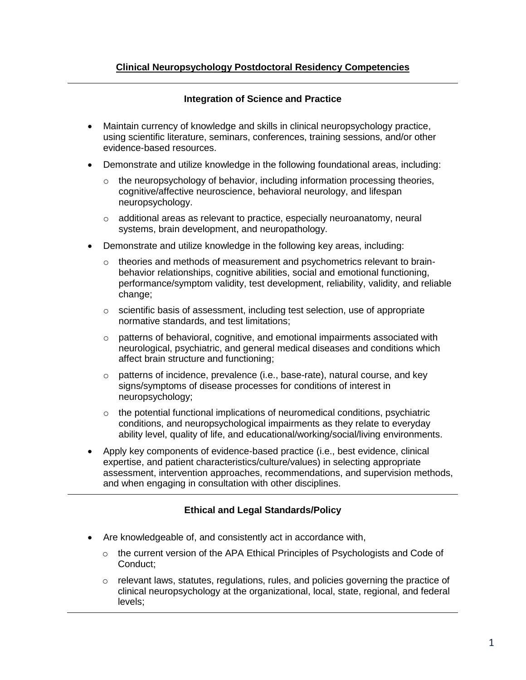## **Integration of Science and Practice**

- Maintain currency of knowledge and skills in clinical neuropsychology practice, using scientific literature, seminars, conferences, training sessions, and/or other evidence-based resources.
- Demonstrate and utilize knowledge in the following foundational areas, including:
	- $\circ$  the neuropsychology of behavior, including information processing theories, cognitive/affective neuroscience, behavioral neurology, and lifespan neuropsychology.
	- o additional areas as relevant to practice, especially neuroanatomy, neural systems, brain development, and neuropathology.
- Demonstrate and utilize knowledge in the following key areas, including:
	- $\circ$  theories and methods of measurement and psychometrics relevant to brainbehavior relationships, cognitive abilities, social and emotional functioning, performance/symptom validity, test development, reliability, validity, and reliable change:
	- $\circ$  scientific basis of assessment, including test selection, use of appropriate normative standards, and test limitations;
	- $\circ$  patterns of behavioral, cognitive, and emotional impairments associated with neurological, psychiatric, and general medical diseases and conditions which affect brain structure and functioning;
	- $\circ$  patterns of incidence, prevalence (i.e., base-rate), natural course, and key signs/symptoms of disease processes for conditions of interest in neuropsychology;
	- $\circ$  the potential functional implications of neuromedical conditions, psychiatric conditions, and neuropsychological impairments as they relate to everyday ability level, quality of life, and educational/working/social/living environments.
- Apply key components of evidence-based practice (i.e., best evidence, clinical expertise, and patient characteristics/culture/values) in selecting appropriate assessment, intervention approaches, recommendations, and supervision methods, and when engaging in consultation with other disciplines.

# **Ethical and Legal Standards/Policy**

- Are knowledgeable of, and consistently act in accordance with,
	- $\circ$  the current version of the APA Ethical Principles of Psychologists and Code of Conduct;
	- $\circ$  relevant laws, statutes, regulations, rules, and policies governing the practice of clinical neuropsychology at the organizational, local, state, regional, and federal levels;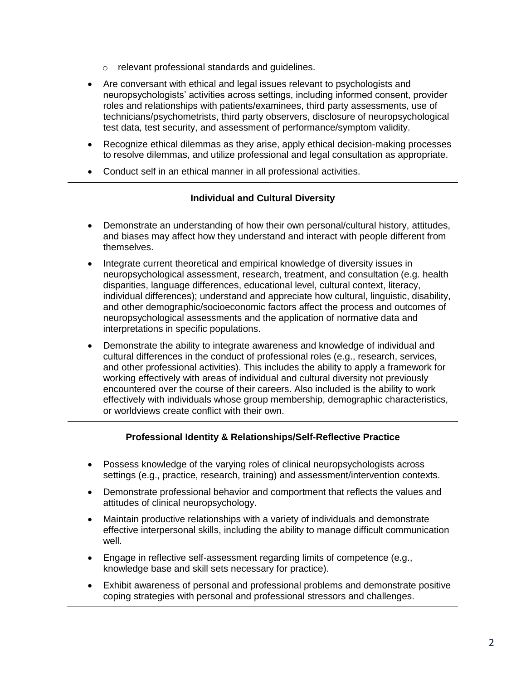- o relevant professional standards and guidelines.
- Are conversant with ethical and legal issues relevant to psychologists and neuropsychologists' activities across settings, including informed consent, provider roles and relationships with patients/examinees, third party assessments, use of technicians/psychometrists, third party observers, disclosure of neuropsychological test data, test security, and assessment of performance/symptom validity.
- Recognize ethical dilemmas as they arise, apply ethical decision-making processes to resolve dilemmas, and utilize professional and legal consultation as appropriate.
- Conduct self in an ethical manner in all professional activities.

### **Individual and Cultural Diversity**

- Demonstrate an understanding of how their own personal/cultural history, attitudes, and biases may affect how they understand and interact with people different from themselves.
- Integrate current theoretical and empirical knowledge of diversity issues in neuropsychological assessment, research, treatment, and consultation (e.g. health disparities, language differences, educational level, cultural context, literacy, individual differences); understand and appreciate how cultural, linguistic, disability, and other demographic/socioeconomic factors affect the process and outcomes of neuropsychological assessments and the application of normative data and interpretations in specific populations.
- Demonstrate the ability to integrate awareness and knowledge of individual and cultural differences in the conduct of professional roles (e.g., research, services, and other professional activities). This includes the ability to apply a framework for working effectively with areas of individual and cultural diversity not previously encountered over the course of their careers. Also included is the ability to work effectively with individuals whose group membership, demographic characteristics, or worldviews create conflict with their own.

### **Professional Identity & Relationships/Self-Reflective Practice**

- Possess knowledge of the varying roles of clinical neuropsychologists across settings (e.g., practice, research, training) and assessment/intervention contexts.
- Demonstrate professional behavior and comportment that reflects the values and attitudes of clinical neuropsychology.
- Maintain productive relationships with a variety of individuals and demonstrate effective interpersonal skills, including the ability to manage difficult communication well.
- Engage in reflective self-assessment regarding limits of competence (e.g., knowledge base and skill sets necessary for practice).
- Exhibit awareness of personal and professional problems and demonstrate positive coping strategies with personal and professional stressors and challenges.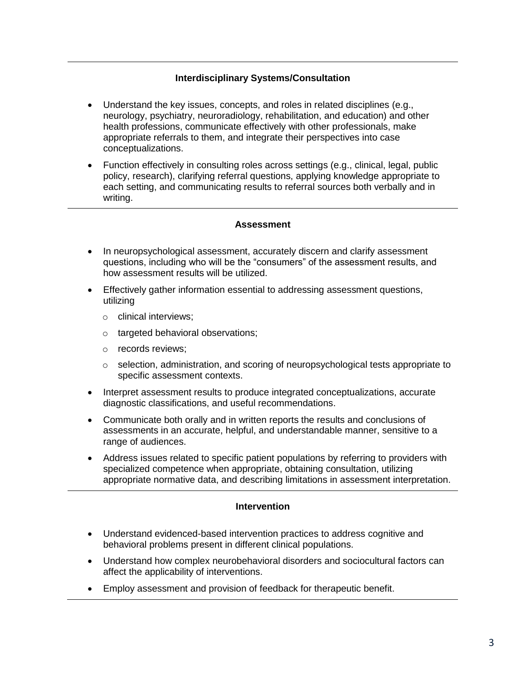## **Interdisciplinary Systems/Consultation**

- Understand the key issues, concepts, and roles in related disciplines (e.g., neurology, psychiatry, neuroradiology, rehabilitation, and education) and other health professions, communicate effectively with other professionals, make appropriate referrals to them, and integrate their perspectives into case conceptualizations.
- Function effectively in consulting roles across settings (e.g., clinical, legal, public policy, research), clarifying referral questions, applying knowledge appropriate to each setting, and communicating results to referral sources both verbally and in writing.

#### **Assessment**

- In neuropsychological assessment, accurately discern and clarify assessment questions, including who will be the "consumers" of the assessment results, and how assessment results will be utilized.
- Effectively gather information essential to addressing assessment questions, utilizing
	- o clinical interviews;
	- o targeted behavioral observations;
	- o records reviews;
	- $\circ$  selection, administration, and scoring of neuropsychological tests appropriate to specific assessment contexts.
- Interpret assessment results to produce integrated conceptualizations, accurate diagnostic classifications, and useful recommendations.
- Communicate both orally and in written reports the results and conclusions of assessments in an accurate, helpful, and understandable manner, sensitive to a range of audiences.
- Address issues related to specific patient populations by referring to providers with specialized competence when appropriate, obtaining consultation, utilizing appropriate normative data, and describing limitations in assessment interpretation.

#### **Intervention**

- Understand evidenced-based intervention practices to address cognitive and behavioral problems present in different clinical populations.
- Understand how complex neurobehavioral disorders and sociocultural factors can affect the applicability of interventions.
- Employ assessment and provision of feedback for therapeutic benefit.